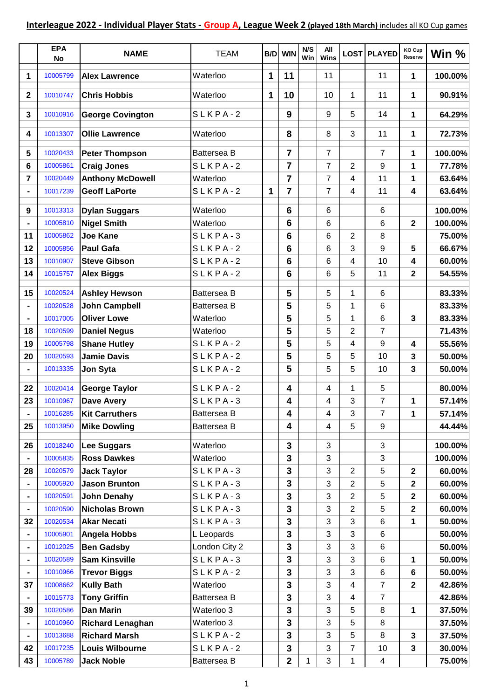|                | <b>EPA</b><br>No     | <b>NAME</b>                                    | <b>TEAM</b>             |             | B/D WIN           | N/S<br>Win | All<br><b>Wins</b> |                | LOST PLAYED    | KO Cup<br>Reserve | Win %            |
|----------------|----------------------|------------------------------------------------|-------------------------|-------------|-------------------|------------|--------------------|----------------|----------------|-------------------|------------------|
| 1              | 10005799             | <b>Alex Lawrence</b>                           | Waterloo                | $\mathbf 1$ | 11                |            | 11                 |                | 11             | 1                 | 100.00%          |
| $\mathbf{2}$   | 10010747             | <b>Chris Hobbis</b>                            | Waterloo                | 1           | 10                |            | 10                 | 1              | 11             | 1                 | 90.91%           |
| 3              | 10010916             | <b>George Covington</b>                        | SLKPA-2                 |             | 9                 |            | 9                  | 5              | 14             | 1                 | 64.29%           |
| 4              | 10013307             | <b>Ollie Lawrence</b>                          | Waterloo                |             | 8                 |            | 8                  | 3              | 11             | 1                 | 72.73%           |
| 5              | 10020433             | <b>Peter Thompson</b>                          | Battersea B             |             | $\overline{7}$    |            | $\overline{7}$     |                | $\overline{7}$ | 1                 | 100.00%          |
| 6              | 10005861             | <b>Craig Jones</b>                             | $SLKPA-2$               |             | $\overline{7}$    |            | 7                  | $\overline{c}$ | 9              | 1                 | 77.78%           |
| $\overline{7}$ | 10020449             | <b>Anthony McDowell</b>                        | Waterloo                |             | $\overline{7}$    |            | 7                  | 4              | 11             | 1                 | 63.64%           |
|                | 10017239             | <b>Geoff LaPorte</b>                           | $SLKPA-2$               | $\mathbf 1$ | $\overline{7}$    |            | $\overline{7}$     | 4              | 11             | 4                 | 63.64%           |
| 9              | 10013313             | <b>Dylan Suggars</b>                           | Waterloo                |             | 6                 |            | 6                  |                | 6              |                   | 100.00%          |
|                | 10005810             | Nigel Smith                                    | Waterloo                |             | 6                 |            | 6                  |                | 6              | 2                 | 100.00%          |
| 11             | 10005862             | <b>Joe Kane</b>                                | $SLKPA-3$               |             | 6                 |            | 6                  | 2              | 8              |                   | 75.00%           |
| 12             | 10005856             | Paul Gafa                                      | $SLKPA-2$               |             | 6                 |            | 6                  | 3              | 9              | 5                 | 66.67%           |
| 13             | 10010907             | <b>Steve Gibson</b>                            | $SLKPA-2$               |             | 6                 |            | 6                  | 4              | 10             | 4                 | 60.00%           |
| 14             | 10015757             | <b>Alex Biggs</b>                              | SLKPA-2                 |             | $6\phantom{1}6$   |            | 6                  | 5              | 11             | 2                 | 54.55%           |
| 15             | 10020524             | <b>Ashley Hewson</b>                           | <b>Battersea B</b>      |             | 5                 |            | 5                  | 1              | 6              |                   | 83.33%           |
|                | 10020528             | <b>John Campbell</b>                           | <b>Battersea B</b>      |             | 5                 |            | 5                  | 1              | 6              |                   | 83.33%           |
|                | 10017005             | <b>Oliver Lowe</b>                             | Waterloo                |             | 5                 |            | 5                  | 1              | $\,6$          | 3                 | 83.33%           |
| 18             | 10020599             | <b>Daniel Negus</b>                            | Waterloo                |             | 5                 |            | 5                  | 2              | 7              |                   | 71.43%           |
| 19             | 10005798             | <b>Shane Hutley</b>                            | SLKPA-2                 |             | 5                 |            | 5                  | 4              | 9              | 4                 | 55.56%           |
| 20             | 10020593             | <b>Jamie Davis</b>                             | $SLKPA-2$               |             | 5                 |            | 5                  | 5              | 10             | 3                 | 50.00%           |
|                | 10013335             | Jon Syta                                       | $SLKPA-2$               |             | 5                 |            | 5                  | 5              | 10             | 3                 | 50.00%           |
|                |                      |                                                |                         |             |                   |            |                    |                |                |                   |                  |
| 22             | 10020414             | <b>George Taylor</b>                           | SLKPA-2                 |             | 4                 |            | 4                  | 1              | 5              |                   | 80.00%           |
| 23             | 10010967             | <b>Dave Avery</b>                              | $SLKPA-3$               |             | 4                 |            | 4                  | 3              | 7              | 1                 | 57.14%           |
|                | 10016285             | <b>Kit Carruthers</b>                          | <b>Battersea B</b>      |             | 4                 |            | 4                  | 3              | 7              | 1                 | 57.14%           |
| 25             | 10013950             | <b>Mike Dowling</b>                            | Battersea B             |             | 4                 |            | 4                  | 5              | 9              |                   | 44.44%           |
| 26             | 10018240             | <b>Lee Suggars</b>                             | Waterloo                |             | 3                 |            | 3                  |                | 3              |                   | 100.00%          |
|                | 10005835             | <b>Ross Dawkes</b>                             | Waterloo                |             | 3                 |            | 3                  |                | 3              |                   | 100.00%          |
| 28             | 10020579             | <b>Jack Taylor</b>                             | $SLKPA-3$               |             | 3                 |            | 3                  | 2              | 5              | $\mathbf{2}$      | 60.00%           |
|                | 10005920             | <b>Jason Brunton</b>                           | $SLKPA-3$               |             | 3                 |            | 3                  | $\overline{2}$ | 5              | $\mathbf{2}$      | 60.00%           |
|                | 10020591             | <b>John Denahy</b>                             | $SLKPA-3$               |             | $\mathbf{3}$      |            | 3                  | 2              | 5              | $\mathbf 2$       | 60.00%           |
|                | 10020590             | <b>Nicholas Brown</b>                          | $SLKPA-3$               |             | $\mathbf{3}$      |            | 3                  | 2              | 5              | $\mathbf 2$       | 60.00%           |
| 32             | 10020534             | Akar Necati                                    | $SLKPA-3$               |             | $\mathbf{3}$      |            | 3                  | 3              | 6              | 1                 | 50.00%           |
| $\blacksquare$ | 10005901             | <b>Angela Hobbs</b>                            | L Leopards              |             | 3                 |            | 3                  | 3              | 6              |                   | 50.00%           |
|                | 10012025             | <b>Ben Gadsby</b>                              | London City 2           |             | 3                 |            | 3                  | 3              | 6              |                   | 50.00%           |
| $\blacksquare$ | 10020589             | <b>Sam Kinsville</b>                           | $SLKPA-3$               |             | 3                 |            | 3                  | 3              | 6              | 1                 | 50.00%           |
|                | 10010966             | <b>Trevor Biggs</b>                            | SLKPA-2                 |             | 3                 |            | 3                  | 3              | 6              | 6                 | 50.00%           |
| 37             | 10008662             | <b>Kully Bath</b>                              | Waterloo                |             | 3                 |            | 3                  | 4              | $\overline{7}$ | $\mathbf 2$       | 42.86%           |
|                | 10015773             | <b>Tony Griffin</b>                            | Battersea B             |             | $\mathbf{3}$      |            | 3                  | 4              | $\overline{7}$ |                   | 42.86%           |
| 39             | 10020586             | <b>Dan Marin</b>                               | Waterloo 3              |             | 3                 |            | 3                  | 5              | 8              | 1                 | 37.50%           |
|                | 10010960             | <b>Richard Lenaghan</b>                        | Waterloo 3<br>$SLKPA-2$ |             | 3                 |            | 3<br>3             | 5              | 8              |                   | 37.50%           |
| 42             | 10013688<br>10017235 | <b>Richard Marsh</b><br><b>Louis Wilbourne</b> | $SLKPA-2$               |             | 3<br>$\mathbf{3}$ |            | 3                  | 5              | 8              | 3<br>3            | 37.50%<br>30.00% |
| 43             | 10005789             | <b>Jack Noble</b>                              | Battersea B             |             | $\mathbf{2}$      | 1          | 3                  | 7<br>1         | 10<br>4        |                   | 75.00%           |
|                |                      |                                                |                         |             |                   |            |                    |                |                |                   |                  |